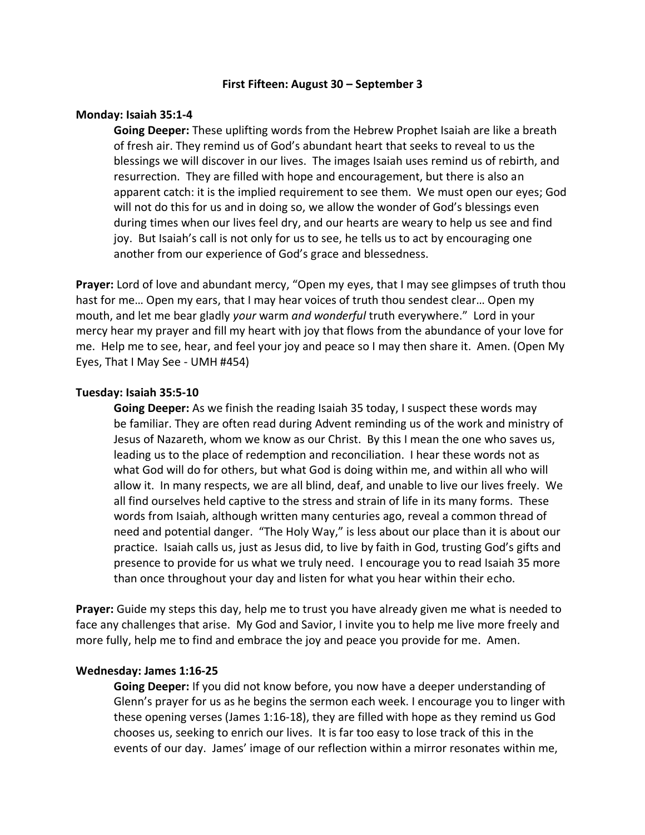## **First Fifteen: August 30 – September 3**

## **Monday: Isaiah 35:1-4**

**Going Deeper:** These uplifting words from the Hebrew Prophet Isaiah are like a breath of fresh air. They remind us of God's abundant heart that seeks to reveal to us the blessings we will discover in our lives. The images Isaiah uses remind us of rebirth, and resurrection. They are filled with hope and encouragement, but there is also an apparent catch: it is the implied requirement to see them. We must open our eyes; God will not do this for us and in doing so, we allow the wonder of God's blessings even during times when our lives feel dry, and our hearts are weary to help us see and find joy. But Isaiah's call is not only for us to see, he tells us to act by encouraging one another from our experience of God's grace and blessedness.

**Prayer:** Lord of love and abundant mercy, "Open my eyes, that I may see glimpses of truth thou hast for me… Open my ears, that I may hear voices of truth thou sendest clear… Open my mouth, and let me bear gladly *your* warm *and wonderful* truth everywhere." Lord in your mercy hear my prayer and fill my heart with joy that flows from the abundance of your love for me. Help me to see, hear, and feel your joy and peace so I may then share it. Amen. (Open My Eyes, That I May See - UMH #454)

## **Tuesday: Isaiah 35:5-10**

**Going Deeper:** As we finish the reading Isaiah 35 today, I suspect these words may be familiar. They are often read during Advent reminding us of the work and ministry of Jesus of Nazareth, whom we know as our Christ. By this I mean the one who saves us, leading us to the place of redemption and reconciliation. I hear these words not as what God will do for others, but what God is doing within me, and within all who will allow it. In many respects, we are all blind, deaf, and unable to live our lives freely. We all find ourselves held captive to the stress and strain of life in its many forms. These words from Isaiah, although written many centuries ago, reveal a common thread of need and potential danger. "The Holy Way," is less about our place than it is about our practice. Isaiah calls us, just as Jesus did, to live by faith in God, trusting God's gifts and presence to provide for us what we truly need. I encourage you to read Isaiah 35 more than once throughout your day and listen for what you hear within their echo.

**Prayer:** Guide my steps this day, help me to trust you have already given me what is needed to face any challenges that arise. My God and Savior, I invite you to help me live more freely and more fully, help me to find and embrace the joy and peace you provide for me. Amen.

#### **Wednesday: James 1:16-25**

**Going Deeper:** If you did not know before, you now have a deeper understanding of Glenn's prayer for us as he begins the sermon each week. I encourage you to linger with these opening verses (James 1:16-18), they are filled with hope as they remind us God chooses us, seeking to enrich our lives. It is far too easy to lose track of this in the events of our day. James' image of our reflection within a mirror resonates within me,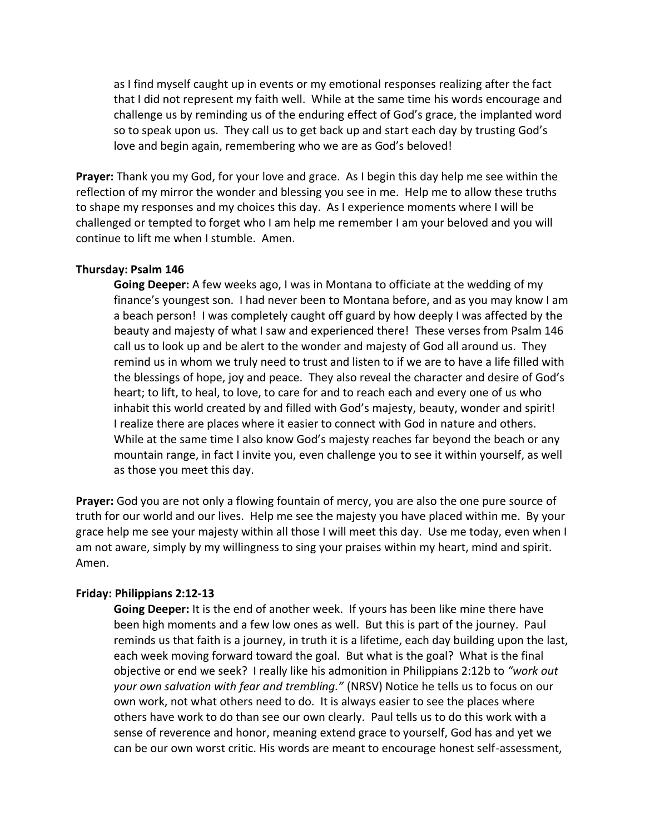as I find myself caught up in events or my emotional responses realizing after the fact that I did not represent my faith well. While at the same time his words encourage and challenge us by reminding us of the enduring effect of God's grace, the implanted word so to speak upon us. They call us to get back up and start each day by trusting God's love and begin again, remembering who we are as God's beloved!

**Prayer:** Thank you my God, for your love and grace. As I begin this day help me see within the reflection of my mirror the wonder and blessing you see in me. Help me to allow these truths to shape my responses and my choices this day. As I experience moments where I will be challenged or tempted to forget who I am help me remember I am your beloved and you will continue to lift me when I stumble. Amen.

# **Thursday: Psalm 146**

**Going Deeper:** A few weeks ago, I was in Montana to officiate at the wedding of my finance's youngest son. I had never been to Montana before, and as you may know I am a beach person! I was completely caught off guard by how deeply I was affected by the beauty and majesty of what I saw and experienced there! These verses from Psalm 146 call us to look up and be alert to the wonder and majesty of God all around us. They remind us in whom we truly need to trust and listen to if we are to have a life filled with the blessings of hope, joy and peace. They also reveal the character and desire of God's heart; to lift, to heal, to love, to care for and to reach each and every one of us who inhabit this world created by and filled with God's majesty, beauty, wonder and spirit! I realize there are places where it easier to connect with God in nature and others. While at the same time I also know God's majesty reaches far beyond the beach or any mountain range, in fact I invite you, even challenge you to see it within yourself, as well as those you meet this day.

**Prayer:** God you are not only a flowing fountain of mercy, you are also the one pure source of truth for our world and our lives. Help me see the majesty you have placed within me. By your grace help me see your majesty within all those I will meet this day. Use me today, even when I am not aware, simply by my willingness to sing your praises within my heart, mind and spirit. Amen.

## **Friday: Philippians 2:12-13**

**Going Deeper:** It is the end of another week. If yours has been like mine there have been high moments and a few low ones as well. But this is part of the journey. Paul reminds us that faith is a journey, in truth it is a lifetime, each day building upon the last, each week moving forward toward the goal. But what is the goal? What is the final objective or end we seek? I really like his admonition in Philippians 2:12b to *"work out your own salvation with fear and trembling."* (NRSV) Notice he tells us to focus on our own work, not what others need to do. It is always easier to see the places where others have work to do than see our own clearly. Paul tells us to do this work with a sense of reverence and honor, meaning extend grace to yourself, God has and yet we can be our own worst critic. His words are meant to encourage honest self-assessment,